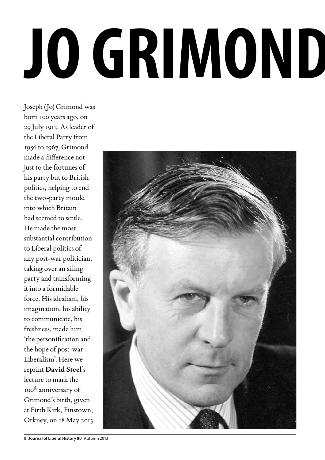## **Jo Grimond 1913– 1993**

Joseph (Jo) Grimond was born 100 years ago, on 29 July 1913. As leader of the Liberal Party from 1956 to 1967, Grimond made a difference not just to the fortunes of his party but to British politics, helping to end the two-party mould into which Britain had seemed to settle. He made the most substantial contribution to Liberal politics of any post-war politician, taking over an ailing party and transforming it into a formidable force. His idealism, his imagination, his ability to communicate, his freshness, made him 'the personification and the hope of post-war Liberalism'. Here we reprint **David Steel**'s lecture to mark the 100th anniversary of Grimond's birth, given at Firth Kirk, Finstown, Orkney, on 18 May 2013.

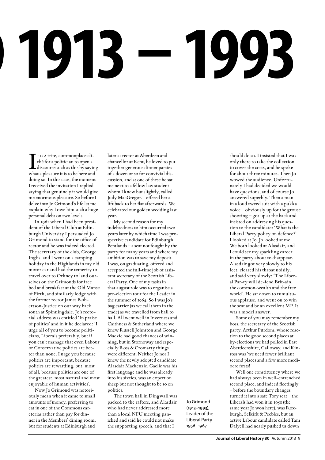# **Jo Grimond 1913– 1993**

T I is a trite, commonplace cliché for a politician to open a<br>discourse such as this by saying<br>what a pleasure it is to be here and T IS A trite, commonplace cliché for a politician to open a discourse such as this by saying doing so. In this case, the moment I received the invitation I replied saying that genuinely it would give me enormous pleasure. So before I delve into Jo Grimond's life let me explain why I owe him such a huge personal debt on two levels.

In 1961 when I had been president of the Liberal Club at Edinburgh University I persuaded Jo Grimond to stand for the office of rector and he was indeed elected. The secretary of the club, George Inglis, and I went on a camping holiday in the Highlands in my old motor car and had the temerity to travel over to Orkney to land ourselves on the Grimonds for free bed and breakfast at the Old Manse of Firth, and similarly lodge with the former rector James Robertson-Justice on our way back south at Spinningdale. Jo's rectorial address was entitled 'In praise of politics' and in it he declared: 'I urge all of you to become politicians, Liberals preferably, but if you can't manage that even Labour or Conservative politics are better than none. I urge you because politics are important, because politics are rewarding, but, most of all, because politics are one of the greatest, most natural and most enjoyable of human activities'.

Now Jo Grimond was notoriously mean when it came to small amounts of money, preferring to eat in one of the Commons cafeterias rather than pay for dinner in the Members' dining room, but for students at Edinburgh and

later as rector at Aberdeen and chancellor at Kent, he loved to put together generous dinner parties of a dozen or so for convivial discussion, and at one of these he sat me next to a fellow law student whom I knew but slightly, called Judy MacGregor. I offered her a lift back to her flat afterwards. We celebrated our golden wedding last year.

My second reason for my indebtedness to him occurred two years later by which time I was prospective candidate for Edinburgh Pentlands – a seat not fought by the party for many years and where my ambition was to save my deposit. I was, on graduating, offered and accepted the full-time job of assistant secretary of the Scottish Liberal Party. One of my tasks in that august role was to organise a pre-election tour for the Leader in the summer of 1964. So I was Jo's bag carrier (as we call them in the trade) as we travelled from hall to hall. All went well in Inverness and Caithness & Sutherland where we knew Russell Johnston and George Mackie had good chances of winning, but in Stornoway and especially Ross & Cromarty things were different. Neither Jo nor I knew the newly adopted candidate Alasdair Mackenzie. Gaelic was his first language and he was already into his sixties, was an expert on sheep but not thought to be so on politics.

The town hall in Dingwall was packed to the rafters, and Alasdair who had never addressed more than a local NFU meeting panicked and said he could not make the supporting speech, and that I

Jo Grimond (1913–1993), Leader of the Liberal Party 1956–1967

should do so. I insisted that I was only there to take the collection to cover the costs, and he spoke for about three minutes. Then Jo wowed the audience. Unfortunately I had decided we would have questions, and of course Jo answered superbly. Then a man in a loud tweed suit with a pukka voice – obviously up for the grouse shooting – got up at the back and insisted on addressing his question to the candidate: 'What is the Liberal Party policy on defence?' I looked at Jo. Jo looked at me. We both looked at Alasdair, and I could see my sparkling career in the party about to disappear. Alasdair got very slowly to his feet, cleared his throat noisily, and said very slowly: 'The Liberal Par-ty will de-fend Brit-ain, the common-wealth and the free world'. He sat down to tumultuous applause, and went on to win the seat and be an excellent MP. It was a model answer.

Some of you may remember my boss, the secretary of the Scottish party, Arthur Purdom, whose reaction to the good second places at by-elections we had polled in East Aberdeenshire, Galloway, and Kinross was 'we need fewer brilliant second places and a few more mediocre firsts!'

Well one constituency where we had always been in well-entrenched second place, and indeed fleetingly – before the boundary changes turned it into a safe Tory seat – the Liberals had won it in 1950 (the same year Jo won here), was Roxburgh, Selkirk & Peebles, but an active Labour candidate called Tam Dalyell had nearly pushed us down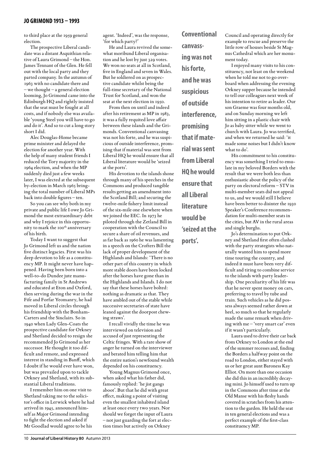to third place at the 1959 general election.

The prospective Liberal candidate was a distant Asquithian relative of Laura Grimond – the Hon. James Tennant of the Glen. He fell out with the local party and they parted company. In the autumn of 1963 with no candidate there and – we thought – a general election looming, Jo Grimond came into the Edinburgh HQ and rightly insisted that the seat must be fought at all costs, and if nobody else was available 'young Steel you will have to go and do it'. And so to cut a long story short I did.

Alec Douglas-Home became prime minister and delayed the election for another year. With the help of many student friends I reduced the Tory majority in the 1964 election, and when the MP suddenly died just a few weeks later, I was elected at the subsequent by-election in March 1965 bringing the total number of Liberal MPs back into double figures – ten.

So you can see why both in my private and public life I owe Jo Grimond the most extraordinary debt and why I rejoice in this opportunity to mark the 100<sup>th</sup> anniversary of his birth.

Today I want to suggest that Jo Grimond left us and the nation five distinct legacies. First was his deep devotion to life as a constituency MP. It might never have happened. Having been born into a well-to-do Dundee jute manufacturing family in St Andrews and educated at Eton and Oxford, then serving during the war in the Fife and Forfar Yeomanry, he had moved in Liberal circles through his friendship with the Bonham-Carters and the Sinclairs. So in 1940 when Lady Glen-Coats the prospective candidate for Orkney and Shetland decided to resign she recommended Jo Grimond as her successor. He thought it too difficult and remote, and expressed interest in standing in Banff, which I doubt if he would ever have won, but was prevailed upon to tackle Orkney and Shetland, with its substantial Liberal traditions.

I remember him on one visit to Shetland taking me to the solicitor's office in Lerwick where he had arrived in 1945, announced himself as Major Grimond intending to fight the election and asked if Mr Goodlad would agree to be his

agent. 'Indeed', was the response, 'for which party?'

He and Laura revived the somewhat moribund Liberal organisation and he lost by just 329 votes. We won no seats at all in Scotland, five in England and seven in Wales. But he soldiered on as prospective candidate whilst being the full-time secretary of the National Trust for Scotland, and won the seat at the next election in 1950.

From then on until and indeed after his retirement as MP in 1983, it was a fully requited love affair between these islands and the Grimonds. Conventional canvassing was not his forte, and he was suspicious of outside interference, promising that if material was sent from Liberal HQ he would ensure that all Liberal literature would be 'seized at the ports'.

His devotion to the islands shone through many of his speeches in the Commons and produced tangible results getting an amendment into the Scotland Bill; and securing the twelve-mile fishery limit instead of the six-mile one elsewhere when we joined the EEC. In 1973 he piloted through the Zetland Bill in cooperation with the Council to secure a share of oil revenues, and as far back as 1960 he was lamenting in a speech on the Crofters Bill the lack of proper development of the Highlands and Islands: 'There is no other part of this country in which more stable doors have been locked after the horses have gone than in the Highlands and Islands. I do not say that these horses have bolted: nothing as dramatic as that. They have ambled out of the stable while successive secretaries of state have leaned against the doorpost chewing straws'.

I recall vividly the time he was interviewed on television and accused of just representing the Celtic fringes. With a rare show of anger he turned on the interviewer and berated him telling him that the entire nation's newfound wealth depended on his constituency.

Young Magnus Grimond once, when asked what his father did, famously replied: 'he jist gangs aboot'. But that he did with great effect, making a point of visiting even the smallest inhabited island at least once every two years. Nor should we forget the input of Laura – not just guarding the fort at election times but actively on Orkney

**Conventional canvassing was not his forte, and he was suspicious of outside interference, promising that if material was sent from Liberal HQ he would ensure that all Liberal literature would be 'seized at the ports'.**

Council and operating directly for example to rescue and preserve the little row of houses beside St Magnus Cathedral which are her monument today.

I enjoyed many visits to his constituency, not least on the weekend when he told me not to go overboard when addressing the evening Orkney supper because he intended to tell our colleagues next week of his intention to retire as leader. Our son Graeme was four months old, and on Sunday morning we left him sitting in a plastic chair with Jo as baby sitter while we went to church with Laura. Jo was terrified, and when we returned he said: 'it made some noises but I didn't know what to do'.

His commitment to his constituency was something I tried to emulate in my beloved Borders with the result that we were both less than enthusiastic about the policy of the party on electoral reform – STV in multi-member seats did not appeal to us, and we would still I believe have been better to disinter the 1930 Speaker's Conference recommendation for multi-member seats in the cities, but AV in the rural areas and single burghs.

Jo's determination to put Orkney and Shetland first often clashed with the party strategists who naturally wanted him to spend more time touring the country, and indeed it must have been very difficult and tiring to combine service to the islands with party leadership. One peculiarity of his life was that he never spent money on cars, preferring to travel by tube and train. Such vehicles as he did possess always seemed rather down at heel, so much so that he regularly made the same remark when driving with me – 'very smart car' even if it wasn't particularly.

Laura used to drive their car back from Orkney to London at the end of the summer recesses and, finding the Borders a halfway point on the road to London, either stayed with us or her great aunt Baroness Kay Elliot. On more than one occasion she did this in an incredibly decaying mini. Jo himself used to turn up in the Commons after time at the Old Manse with his fleshy hands covered in scratches from his attention to the garden. He held the seat in ten general elections and was a perfect example of the first-class constituency MP.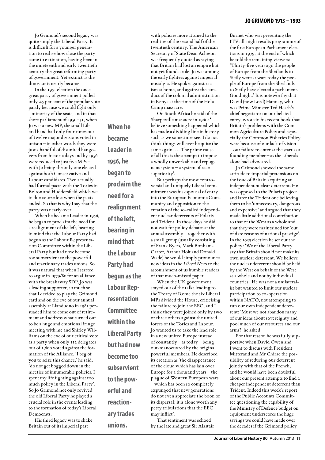tion to realise how close the party came to extinction, having been in the nineteenth and early twentieth century the great reforming party of government. Yet extinct as the dinosaur it nearly became.

In the 1951 election the once great party of government polled only 2.5 per cent of the popular vote partly because we could fight only a minority of the seats, and in that short parliament of 1950–51, when Jo was a new MP, the small Liberal band had only four times out of twelve major divisions voted in unison – in other words they were just a handful of disunited hangovers from historic days and by 1956 were reduced to just five MPs – with Jo being the only one elected against both Conservative and Labour candidates. Two actually had formal pacts with the Tories in Bolton and Huddersfield which we in due course lost when the pacts ended. So that is why I say that the party was nearly over.

When he became Leader in 1956, he began to proclaim the need for a realignment of the left, bearing in mind that the Labour Party had begun as the Labour Representation Committee within the Liberal Party but had now become too subservient to the powerful and reactionary trades unions. So it was natural that when I started to argue in 1979/80 for an alliance with the breakaway SDP, Jo was a leading supporter, so much so that I decided to play the Grimond card and on the eve of our annual assembly at Llandudno in 1981 persuaded him to come out of retirement and address what turned out to be a huge and emotional fringe meeting with me and Shirley Williams on the eve of our critical vote as a party when only 112 delegates out of 1,600 voted against the formation of the Alliance. 'I beg of you to seize this chance,' he said, 'do not get bogged down in the niceties of innumerable policies. I spent my life fighting against too much policy in the Liberal Party'. So Jo Grimond not only revived the old Liberal Party he played a crucial role in the events leading to the formation of today's Liberal Democrats.

His third legacy was to shake Britain out of its imperial past

**When he became Leader in 1956, he began to proclaim the need for a realignment of the left, bearing in mind that the Labour Party had begun as the Labour Representation Committee within the Liberal Party but had now become too subservient to the powerful and reactionary trades unions.**

with policies more attuned to the realities of the second half of the twentieth century. The American Secretary of State Dean Acheson was frequently quoted as saying that Britain had lost an empire but not yet found a role. Jo was among the early fighters against imperial nostalgia. He spoke against racism at home, and against the conduct of the colonial administration in Kenya at the time of the Hola Camp massacre.

On South Africa he said of the Sharpeville massacre in 1960: 'I believe something happened which has made a dividing line in history such as we sometimes see. I do not think things will ever be quite the same again. … The prime cause of all this is the attempt to impose a wholly unworkable and repugnant system – a system of race superiority'.

But perhaps the most controversial and uniquely Liberal commitment was his espousal of entry into the European Economic Community and opposition to the creation of the so-called independent nuclear deterrents of Polaris and Trident. In those days he did not wait for policy debates at the annual assembly – together with a small group (usually consisting of Frank Byers, Mark Bonham-Carter, Arthur Holt and Donald Wade) he would simply pronounce new ideas in the *Liberal News* to the astonishment of us humble readers of that much-missed paper.

When the UK government stayed out of the talks leading to the Treaty of Rome the six Liberal MPs divided the House, criticising the failure to join the EEC, and I think they were joined only by two or three others against the united forces of the Tories and Labour. Jo wanted us to take the lead role in a new united Europe instead of constantly – as today – being out-manoeuvred by the original powerful members. He described its creation as 'the disappearance of the cloud which has lain over Europe for a thousand years – the plague of Western European wars – which has been so completely expunged that new generations do not even appreciate the boon of its dispersal; it is alone worth any petty tribulations that the EEC may inflict'.

That sentiment was echoed by the late and great Sir Alastair Burnet who was presenting the ITV all-night results programme of the first European Parliament elections in 1979, at the end of which he told the remaining viewers: 'Thirty-five years ago the people of Europe from the Shetlands to Sicily were at war: today the people of Europe from the Shetlands to Sicily have elected a parliament. Goodnight.' It is noteworthy that David (now Lord) Hannay, who was Prime Minister Ted Heath's chief negotiator on our belated entry, wrote in his recent book that Britain's problems with the Common Agriculture Policy and especially the Common Fisheries Policy were because of our lack of vision – our failure to enter at the start as a founding member – as the Liberals alone had advocated.

Jo Grimond showed the same attitude to imperial pretensions on the issue of Britain acquiring an independent nuclear deterrent. He was opposed to the Polaris project and later the Trident one believing them to be 'unnecessary, dangerous and expensive' and argued that they made little additional contribution to that of the West as a whole and that they were maintained for 'out of date reasons of national prestige'. In the 1959 election he set out the policy: 'We of the Liberal Party say that Britain should not make its own nuclear deterrent. We believe the nuclear deterrent should be held by the West on behalf of the West as a whole and not by individual countries.' He was not a unilateralist but wanted to limit our nuclear participation to co-operation within NATO, not attempting to run our own independent deterrent: 'Must we not abandon many of our ideas about sovereignty and pool much of our resources and our arms?' he asked.

For that reason he was fully supportive when David Owen and I went to discuss with President Mitterand and Mr Chirac the possibility of reducing our deterrent jointly with that of the French, and he would have been doubtful about our present attempts to find a cheaper independent deterrent than Trident. Indeed this week's report of the Public Accounts Committee questioning the capability of the Ministry of Defence budget on equipment underscores the huge savings we could have made over the decades if the Grimond policy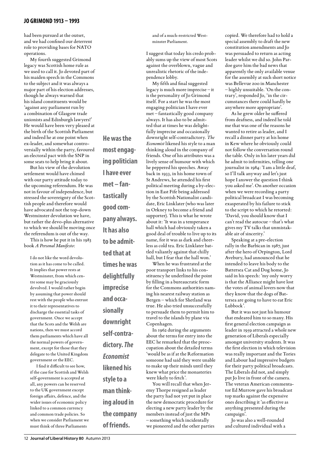had been pursued at the outset, and we had confined our deterrent role to providing bases for NATO operations.

My fourth suggested Grimond legacy was Scottish home rule as we used to call it. Jo devoted part of his maiden speech in the Commons to the subject and it was always a major part of his election addresses, though he always warned that his island constituents would be 'against any parliament run by a combination of Glasgow trade unionists and Edinburgh lawyers!' He would have been very pleased at the birth of the Scottish Parliament and indeed he at one point when ex-leader, and somewhat controversially within the party, favoured an electoral pact with the SNP in some seats to help bring it about.

But his view of the devolution settlement would have chimed with our party attitude today to the upcoming referendum. He was not in favour of independence, but stressed the sovereignty of the Scottish people and therefore would have advocated not the top-down Westminster devolution we have, but rather the devo-plus alternative to which we should be moving once the referendum is out of the way.

This is how he put it in his 1983 book *A Personal Manifesto*:

I do not like the word devolution as it has come to be called. It implies that power rests at Westminster, from which centre some may be graciously devolved. I would rather begin by assuming that power should rest with the people who entrust it to their representatives to discharge the essential tasks of government. Once we accept that the Scots and the Welsh are nations, then we must accord them parliaments which have all the normal powers of government, except for those that they delegate to the United Kingdom government or the EEC.

I find it difficult to see how, if the case for Scottish and Welsh self-government is accepted at all, any powers can be reserved to the UK government except foreign affairs, defence, and the wider issues of economic policy linked to a common currency and common trade policies. So when we consider Parliament we must think of three Parliaments

**He was the most engaging politician I have ever met – fantastically good company always. It has also to be admitted that at times he was delightfully imprecise and occasionally downright self-contradictory.** *The Economist* **likened his style to a man thinking aloud in the company** 

**of friends.**

and of a much-restricted Westminster Parliament.

I suggest that today his credo probably sums up the view of most Scots against the overblown, vague and unrealistic rhetoric of the independence lobby.

My fifth and final suggested legacy is much more imprecise – it is the personality of Jo Grimond itself. For a start he was the most engaging politician I have ever met – fantastically good company always. It has also to be admitted that at times he was delightfully imprecise and occasionally downright self-contradictory. *The Economist* likened his style to a man thinking aloud in the company of friends. One of his attributes was a lively sense of humour with which he peppered his speeches. Away back in 1933, in his home town of St Andrews, he attended his first political meeting during a by-election in East Fife being addressed by the Scottish Nationalist candidate, Eric Linklater (who was later in Orkney to become a friend and supporter). This is what he wrote about it: 'It was in a temperance hall which had obviously taken a good deal of trouble to live up to its name, for it was as dark and cheerless as cold tea. Eric Linklater battled valiantly against that chilly hall, but I fear that the hall won.'

When he was frustrated at the poor transport links to his constituency he underlined the point by filling in a bureaucratic form for the Commons authorities naming his nearest railway station as Bergen – which for Shetland was true. He also tried unsuccessfully to persuade them to permit him to travel to the islands by plane via Copenhagen.

In 1962 during the arguments about the terms for entry into the EEC he remarked that the preoccupation about the detailed terms 'would be as if at the Reformation someone had said they were unable to make up their minds until they knew what price the monasteries were likely to fetch'.

You will recall that when Jeremy Thorpe resigned as leader the party had not yet put in place the new democratic procedure for electing a new party leader by the members instead of just the MPs – something which incidentally we pioneered and the other parties copied. We therefore had to hold a special assembly to draft the new constitution amendments and Jo was persuaded to return as acting leader whilst we did so. John Pardoe gave him the bad news that apparently the only available venue for the assembly at such short notice was Bellevue zoo in Manchester – highly unsuitable. 'On the contrary', responded Jo, 'in the circumstances there could hardly be anywhere more appropriate'.

As he grew older he suffered from deafness, and indeed he told me that was one of the reasons he wanted to retire as leader, and I recall a dinner party at his home in Kew where he obviously could not follow the conversation round the table. Only in his later years did he admit to infirmities, telling one journalist in 1984: 'I am a little deaf, so I'll talk anyway and let's just hope I answer the question I think you asked me'. On another occasion when we were recording a party political broadcast I was becoming exasperated by his failure to stick to the script to which he retorted: 'David, you should know that I can't read the autocue – that's what gives my TV talks that unmistakable air of sincerity.'

Speaking at a pre-election rally in the Barbican in 1987, just after the hero of Orpington, Lord Avebury, had announced that he intended to leave his body to the Battersea Cat and Dog home, Jo said in his speech: 'my only worry is that the Alliance might have lost the votes of animal lovers now that they know that the dogs of Battersea are going to have to eat Eric Lubbock'.

But it was not just his humour that endeared him to so many. His first general election campaign as leader in 1959 attracted a whole new generation of Liberals especially amongst university students. It was the first election in which television was really important and the Tories and Labour had impressive budgets for their party political broadcasts. The Liberals did not, and simply put Jo live in front of the camera. The veteran American commentator Ed Murrow gave his broadcast top marks against the expensive ones describing it 'as effective as anything presented during the campaign'.

Jo was also a well-rounded and cultured individual with a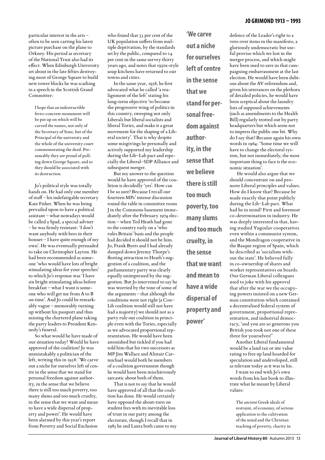particular interest in the arts – often to be seen carting his latest picture purchase on the plane to Orkney. His period as secretary of the National Trust also had its effect. When Edinburgh University set about in the late fifties destroying most of George Square to build new tower blocks he was scathing in a speech in the Scottish Grand Committee:

I hope that an indestructible ferro-concrete monument will be put up on which will be carved the names, not only of the Secretary of State, but of the Principal of the university and the whole of the university court commemorating the deed. Presumably they are proud of pulling down George Square, and so they should be associated with its destruction.

Jo's political style was totally hands on. He had only one member of staff – his indefatigable secretary Kate Fisher. When he was being prevailed upon to have a political assistant – what nowadays would be called a Spad, a special adviser – he was firmly resistant: 'I don't want anybody with bees in their bonnet – I have quite enough of my own'. He was eventually persuaded to take on Christopher Layton. He had been recommended as someone 'who would have lots of bright stimulating ideas for your speeches' to which Jo's response was 'I have six bright stimulating ideas before breakfast – what I want is someone who will get me from A to B on time'. And Jo could be remarkably vague – memorably turning up without his passport and thus missing the chartered plane taking the party leaders to President Kennedy's funeral.

So what would he have made of our situation today? Would he have approved of the coalition? Jo was unmistakably a politician of the left, writing this in 1958: 'We carve out a niche for ourselves left of centre in the sense that we stand for personal freedom against authority, in the sense that we believe there is still too much poverty, too many slums and too much cruelty, in the sense that we want and mean to have a wide dispersal of property and power'. He would have been alarmed by this year's report from Poverty and Social Exclusion

who found that 33 per cent of the UK population suffers from multiple deprivation, by the standards set by the public, compared to 14 per cent in the same survey thirty years ago, and notes that 1930s-style soup kitchens have returned to our towns and cities.

In the same year, 1958, he first advocated what he called 'a realignment of the left' stating his long-term objective 'to become the progressive wing of politics in this country, sweeping not only Liberals but liberal socialists and liberal Tories, and make it a great movement for the shaping of a Liberal society'. That is why despite some misgivings he personally and actively supported my leadership during the Lib–Lab pact and especially the Liberal–SDP Alliance and subsequent merger.

But my answer to the question would he have approved of the coalition is decidedly 'yes'. How can I be so sure? Because I recall our fourteen MPs' intense discussion round the table in committee room J in the Commons basement immediately after the February 1974 election – when Ted Heath had gone to the country early on a 'who rules Britain' basis and the people had decided it should not be him. Jo, Frank Byers and I had already damped down Jeremy Thorpe's fleeting attraction to Heath's suggestion of a coalition, and the parliamentary party was clearly equally unimpressed by the suggestion. But Jo intervened to say he was worried by the tone of some of the arguments – that although the conditions were not right (a Con– Lib coalition would still not have had a majority) we should not as a party rule out coalition in principle even with the Tories, especially as we advocated proportional representation. He would have been astonished but tickled if you had told him that his two successors as MP Jim Wallace and Alistair Carmichael would both be members of a coalition government though he would have been mischievously sarcastic about both of them.

That is not to say that he would have approved of all that the coalition has done. He would certainly have opposed the about-turn on student fees with its inevitable loss of trust in our party among the electorate, though I recall that in 1983 he and Laura both came to my **'We carve out a niche for ourselves left of centre in the sense that we stand for personal freedom against authority, in the sense that we believe there is still too much poverty, too many slums and too much cruelty, in the sense that we want and mean to have a wide dispersal of property and power'**

defence of the Leader's right to a veto over items in the manifesto, a gloriously undemocratic but useful proviso which we lost in the merger process, and which might have been used to save us that campaigning embarrassment at the last election. He would have been dubious about the AV referendum and, given his utterances on the plethora of detailed policies, he would have been sceptical about the laundry lists of supposed achievements (such as amendments to the Health Bill) regularly trotted out by party headquarters but which seem not to impress the public one bit. Why do I say that? Because again his own words in 1964: 'Some time we will have to change the electoral system, but not immediately, the most important thing to face is the economic situation'.

 He would also argue that we should concentrate on and promote Liberal principles and values. How do I know that? Because he made exactly that point publicly during the Lib–Lab pact. What had he in mind? First and foremost co-determination in industry. He was deeply interested in that, having studied Yugoslav cooperatives even within a communist system, and the Mondragon cooperative in the Basque region of Spain, which he described as 'socialism without the state'. He believed fully in co-ownership of shares and worker representatives on boards. Our German Liberal colleagues used to joke with his approval that after the war we the occupying powers insisted on a new German constitution which contained a decentralised federal system of government, proportional representation, and industrial democracy, 'and you are so generous you British you took not one of these three for yourselves!'

Another Liberal fundamental would be a land tax or site value rating to free up land hoarded for speculation and undeveloped, still as relevant today as it was in his.

I want to end with Jo's own words from his last book to illustrate what he meant by Liberal values:

The ancient Greek ideals of restraint, of economy, of serious application to the cultivation of the mind and the Christian teaching of poverty, charity in